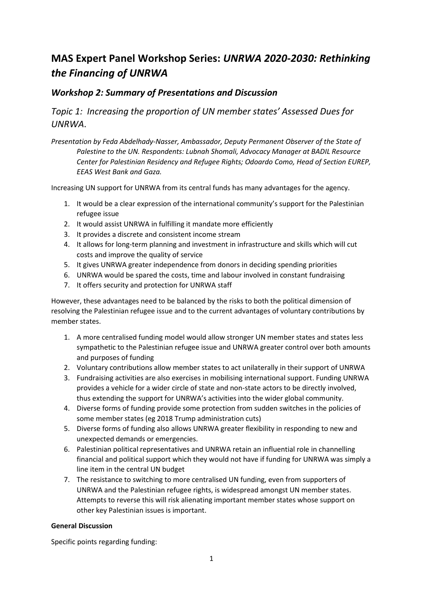## **MAS Expert Panel Workshop Series:** *UNRWA 2020-2030: Rethinking the Financing of UNRWA*

## *Workshop 2: Summary of Presentations and Discussion*

*Topic 1: Increasing the proportion of UN member states' Assessed Dues for UNRWA*.

*Presentation by Feda Abdelhady-Nasser, Ambassador, Deputy Permanent Observer of the State of Palestine to the UN. Respondents: Lubnah Shomali, Advocacy Manager at BADIL Resource Center for Palestinian Residency and Refugee Rights; Odoardo Como, Head of Section EUREP, EEAS West Bank and Gaza.*

Increasing UN support for UNRWA from its central funds has many advantages for the agency.

- 1. It would be a clear expression of the international community's support for the Palestinian refugee issue
- 2. It would assist UNRWA in fulfilling it mandate more efficiently
- 3. It provides a discrete and consistent income stream
- 4. It allows for long-term planning and investment in infrastructure and skills which will cut costs and improve the quality of service
- 5. It gives UNRWA greater independence from donors in deciding spending priorities
- 6. UNRWA would be spared the costs, time and labour involved in constant fundraising
- 7. It offers security and protection for UNRWA staff

However, these advantages need to be balanced by the risks to both the political dimension of resolving the Palestinian refugee issue and to the current advantages of voluntary contributions by member states.

- 1. A more centralised funding model would allow stronger UN member states and states less sympathetic to the Palestinian refugee issue and UNRWA greater control over both amounts and purposes of funding
- 2. Voluntary contributions allow member states to act unilaterally in their support of UNRWA
- 3. Fundraising activities are also exercises in mobilising international support. Funding UNRWA provides a vehicle for a wider circle of state and non-state actors to be directly involved, thus extending the support for UNRWA's activities into the wider global community.
- 4. Diverse forms of funding provide some protection from sudden switches in the policies of some member states (eg 2018 Trump administration cuts)
- 5. Diverse forms of funding also allows UNRWA greater flexibility in responding to new and unexpected demands or emergencies.
- 6. Palestinian political representatives and UNRWA retain an influential role in channelling financial and political support which they would not have if funding for UNRWA was simply a line item in the central UN budget
- 7. The resistance to switching to more centralised UN funding, even from supporters of UNRWA and the Palestinian refugee rights, is widespread amongst UN member states. Attempts to reverse this will risk alienating important member states whose support on other key Palestinian issues is important.

## **General Discussion**

Specific points regarding funding: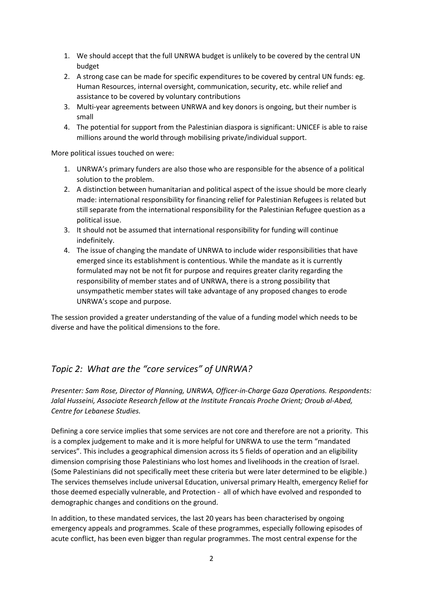- 1. We should accept that the full UNRWA budget is unlikely to be covered by the central UN budget
- 2. A strong case can be made for specific expenditures to be covered by central UN funds: eg. Human Resources, internal oversight, communication, security, etc. while relief and assistance to be covered by voluntary contributions
- 3. Multi-year agreements between UNRWA and key donors is ongoing, but their number is small
- 4. The potential for support from the Palestinian diaspora is significant: UNICEF is able to raise millions around the world through mobilising private/individual support.

More political issues touched on were:

- 1. UNRWA's primary funders are also those who are responsible for the absence of a political solution to the problem.
- 2. A distinction between humanitarian and political aspect of the issue should be more clearly made: international responsibility for financing relief for Palestinian Refugees is related but still separate from the international responsibility for the Palestinian Refugee question as a political issue.
- 3. It should not be assumed that international responsibility for funding will continue indefinitely.
- 4. The issue of changing the mandate of UNRWA to include wider responsibilities that have emerged since its establishment is contentious. While the mandate as it is currently formulated may not be not fit for purpose and requires greater clarity regarding the responsibility of member states and of UNRWA, there is a strong possibility that unsympathetic member states will take advantage of any proposed changes to erode UNRWA's scope and purpose.

The session provided a greater understanding of the value of a funding model which needs to be diverse and have the political dimensions to the fore.

## *Topic 2: What are the "core services" of UNRWA?*

*Presenter: Sam Rose, Director of Planning, UNRWA, Officer-in-Charge Gaza Operations. Respondents: Jalal Husseini, Associate Research fellow at the Institute Francais Proche Orient; Oroub al-Abed, Centre for Lebanese Studies.*

Defining a core service implies that some services are not core and therefore are not a priority. This is a complex judgement to make and it is more helpful for UNRWA to use the term "mandated services". This includes a geographical dimension across its 5 fields of operation and an eligibility dimension comprising those Palestinians who lost homes and livelihoods in the creation of Israel. (Some Palestinians did not specifically meet these criteria but were later determined to be eligible.) The services themselves include universal Education, universal primary Health, emergency Relief for those deemed especially vulnerable, and Protection - all of which have evolved and responded to demographic changes and conditions on the ground.

In addition, to these mandated services, the last 20 years has been characterised by ongoing emergency appeals and programmes. Scale of these programmes, especially following episodes of acute conflict, has been even bigger than regular programmes. The most central expense for the